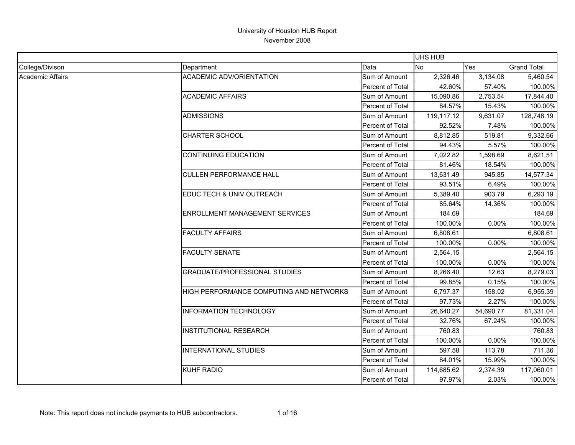|                  |                                         |                         | UHS HUB    |            |                    |
|------------------|-----------------------------------------|-------------------------|------------|------------|--------------------|
| College/Divison  | Department                              | Data                    | No         | <b>Yes</b> | <b>Grand Total</b> |
| Academic Affairs | <b>ACADEMIC ADV/ORIENTATION</b>         | Sum of Amount           | 2,326.46   | 3,134.08   | 5,460.54           |
|                  |                                         | Percent of Total        | 42.60%     | 57.40%     | 100.00%            |
|                  | <b>ACADEMIC AFFAIRS</b>                 | Sum of Amount           | 15,090.86  | 2,753.54   | 17,844.40          |
|                  |                                         | Percent of Total        | 84.57%     | 15.43%     | 100.00%            |
|                  | <b>ADMISSIONS</b>                       | Sum of Amount           | 119,117.12 | 9,631.07   | 128,748.19         |
|                  |                                         | Percent of Total        | 92.52%     | 7.48%      | 100.00%            |
|                  | <b>CHARTER SCHOOL</b>                   | Sum of Amount           | 8,812.85   | 519.81     | 9,332.66           |
|                  |                                         | Percent of Total        | 94.43%     | 5.57%      | 100.00%            |
|                  | <b>CONTINUING EDUCATION</b>             | Sum of Amount           | 7,022.82   | 1,598.69   | 8,621.51           |
|                  |                                         | Percent of Total        | 81.46%     | 18.54%     | 100.00%            |
|                  | <b>CULLEN PERFORMANCE HALL</b>          | Sum of Amount           | 13,631.49  | 945.85     | 14,577.34          |
|                  |                                         | Percent of Total        | 93.51%     | 6.49%      | 100.00%            |
|                  | EDUC TECH & UNIV OUTREACH               | Sum of Amount           | 5,389.40   | 903.79     | 6,293.19           |
|                  |                                         | Percent of Total        | 85.64%     | 14.36%     | 100.00%            |
|                  | <b>ENROLLMENT MANAGEMENT SERVICES</b>   | Sum of Amount           | 184.69     |            | 184.69             |
|                  |                                         | Percent of Total        | 100.00%    | 0.00%      | 100.00%            |
|                  | <b>FACULTY AFFAIRS</b>                  | Sum of Amount           | 6,808.61   |            | 6,808.61           |
|                  |                                         | <b>Percent of Total</b> | 100.00%    | 0.00%      | 100.00%            |
|                  | <b>FACULTY SENATE</b>                   | Sum of Amount           | 2,564.15   |            | 2,564.15           |
|                  |                                         | Percent of Total        | 100.00%    | 0.00%      | 100.00%            |
|                  | <b>GRADUATE/PROFESSIONAL STUDIES</b>    | Sum of Amount           | 8,266.40   | 12.63      | 8,279.03           |
|                  |                                         | Percent of Total        | 99.85%     | 0.15%      | 100.00%            |
|                  | HIGH PERFORMANCE COMPUTING AND NETWORKS | Sum of Amount           | 6,797.37   | 158.02     | 6,955.39           |
|                  |                                         | Percent of Total        | 97.73%     | 2.27%      | 100.00%            |
|                  | <b>INFORMATION TECHNOLOGY</b>           | Sum of Amount           | 26,640.27  | 54,690.77  | 81,331.04          |
|                  |                                         | Percent of Total        | 32.76%     | 67.24%     | 100.00%            |
|                  | <b>INSTITUTIONAL RESEARCH</b>           | Sum of Amount           | 760.83     |            | 760.83             |
|                  |                                         | Percent of Total        | 100.00%    | 0.00%      | 100.00%            |
|                  | INTERNATIONAL STUDIES                   | Sum of Amount           | 597.58     | 113.78     | 711.36             |
|                  |                                         | Percent of Total        | 84.01%     | 15.99%     | 100.00%            |
|                  | <b>KUHF RADIO</b>                       | Sum of Amount           | 114,685.62 | 2,374.39   | 117,060.01         |
|                  |                                         | Percent of Total        | 97.97%     | 2.03%      | 100.00%            |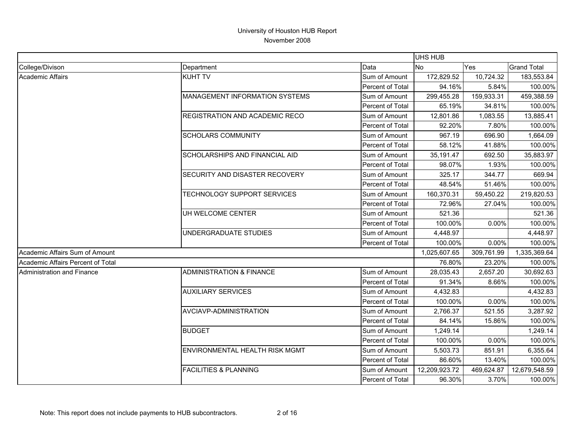|                                   |                                       |                  | UHS HUB       |            |                    |
|-----------------------------------|---------------------------------------|------------------|---------------|------------|--------------------|
| College/Divison                   | Department                            | Data             | <b>No</b>     | Yes        | <b>Grand Total</b> |
| <b>Academic Affairs</b>           | <b>KUHT TV</b>                        | Sum of Amount    | 172,829.52    | 10,724.32  | 183,553.84         |
|                                   |                                       | Percent of Total | 94.16%        | 5.84%      | 100.00%            |
|                                   | <b>MANAGEMENT INFORMATION SYSTEMS</b> | Sum of Amount    | 299,455.28    | 159,933.31 | 459,388.59         |
|                                   |                                       | Percent of Total | 65.19%        | 34.81%     | 100.00%            |
|                                   | <b>REGISTRATION AND ACADEMIC RECO</b> | Sum of Amount    | 12,801.86     | 1,083.55   | 13,885.41          |
|                                   |                                       | Percent of Total | 92.20%        | 7.80%      | 100.00%            |
|                                   | <b>SCHOLARS COMMUNITY</b>             | Sum of Amount    | 967.19        | 696.90     | 1,664.09           |
|                                   |                                       | Percent of Total | 58.12%        | 41.88%     | 100.00%            |
|                                   | <b>SCHOLARSHIPS AND FINANCIAL AID</b> | Sum of Amount    | 35,191.47     | 692.50     | 35,883.97          |
|                                   |                                       | Percent of Total | 98.07%        | 1.93%      | 100.00%            |
|                                   | SECURITY AND DISASTER RECOVERY        | Sum of Amount    | 325.17        | 344.77     | 669.94             |
|                                   |                                       | Percent of Total | 48.54%        | 51.46%     | 100.00%            |
|                                   | TECHNOLOGY SUPPORT SERVICES           | Sum of Amount    | 160,370.31    | 59,450.22  | 219,820.53         |
|                                   |                                       | Percent of Total | 72.96%        | 27.04%     | 100.00%            |
|                                   | UH WELCOME CENTER                     | Sum of Amount    | 521.36        |            | 521.36             |
|                                   |                                       | Percent of Total | 100.00%       | 0.00%      | 100.00%            |
|                                   | UNDERGRADUATE STUDIES                 | Sum of Amount    | 4,448.97      |            | 4,448.97           |
|                                   |                                       | Percent of Total | 100.00%       | 0.00%      | 100.00%            |
| Academic Affairs Sum of Amount    |                                       |                  | 1,025,607.65  | 309,761.99 | 1,335,369.64       |
| Academic Affairs Percent of Total |                                       |                  | 76.80%        | 23.20%     | 100.00%            |
| Administration and Finance        | <b>ADMINISTRATION &amp; FINANCE</b>   | Sum of Amount    | 28,035.43     | 2,657.20   | 30,692.63          |
|                                   |                                       | Percent of Total | 91.34%        | 8.66%      | 100.00%            |
|                                   | <b>AUXILIARY SERVICES</b>             | Sum of Amount    | 4,432.83      |            | 4,432.83           |
|                                   |                                       | Percent of Total | 100.00%       | 0.00%      | 100.00%            |
|                                   | AVCIAVP-ADMINISTRATION                | Sum of Amount    | 2,766.37      | 521.55     | 3,287.92           |
|                                   |                                       | Percent of Total | 84.14%        | 15.86%     | 100.00%            |
|                                   | <b>BUDGET</b>                         | Sum of Amount    | 1,249.14      |            | 1,249.14           |
|                                   |                                       | Percent of Total | 100.00%       | 0.00%      | 100.00%            |
|                                   | ENVIRONMENTAL HEALTH RISK MGMT        | Sum of Amount    | 5,503.73      | 851.91     | 6,355.64           |
|                                   |                                       | Percent of Total | 86.60%        | 13.40%     | 100.00%            |
|                                   | <b>FACILITIES &amp; PLANNING</b>      | Sum of Amount    | 12,209,923.72 | 469,624.87 | 12,679,548.59      |
|                                   |                                       | Percent of Total | 96.30%        | 3.70%      | 100.00%            |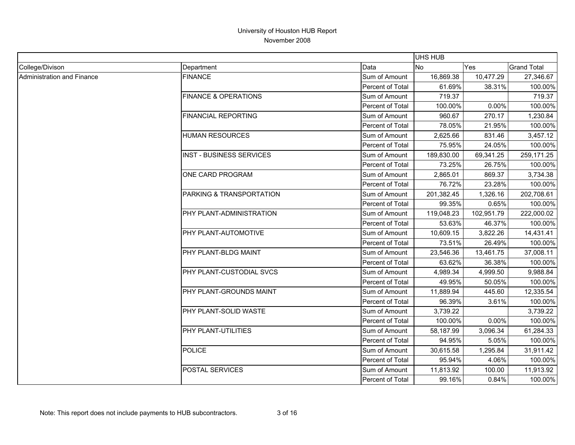|                                   |                                 |                  | <b>UHS HUB</b> |            |                    |
|-----------------------------------|---------------------------------|------------------|----------------|------------|--------------------|
| College/Divison                   | Department                      | Data             | <b>No</b>      | Yes        | <b>Grand Total</b> |
| <b>Administration and Finance</b> | <b>FINANCE</b>                  | Sum of Amount    | 16,869.38      | 10,477.29  | 27,346.67          |
|                                   |                                 | Percent of Total | 61.69%         | 38.31%     | 100.00%            |
|                                   | <b>FINANCE &amp; OPERATIONS</b> | Sum of Amount    | 719.37         |            | 719.37             |
|                                   |                                 | Percent of Total | 100.00%        | 0.00%      | 100.00%            |
|                                   | FINANCIAL REPORTING             | Sum of Amount    | 960.67         | 270.17     | 1,230.84           |
|                                   |                                 | Percent of Total | 78.05%         | 21.95%     | 100.00%            |
|                                   | <b>HUMAN RESOURCES</b>          | Sum of Amount    | 2,625.66       | 831.46     | 3,457.12           |
|                                   |                                 | Percent of Total | 75.95%         | 24.05%     | 100.00%            |
|                                   | <b>INST - BUSINESS SERVICES</b> | Sum of Amount    | 189,830.00     | 69,341.25  | 259,171.25         |
|                                   |                                 | Percent of Total | 73.25%         | 26.75%     | 100.00%            |
|                                   | ONE CARD PROGRAM                | Sum of Amount    | 2,865.01       | 869.37     | 3,734.38           |
|                                   |                                 | Percent of Total | 76.72%         | 23.28%     | 100.00%            |
|                                   | PARKING & TRANSPORTATION        | Sum of Amount    | 201,382.45     | 1,326.16   | 202,708.61         |
|                                   |                                 | Percent of Total | 99.35%         | 0.65%      | 100.00%            |
|                                   | PHY PLANT-ADMINISTRATION        | Sum of Amount    | 119,048.23     | 102,951.79 | 222,000.02         |
|                                   |                                 | Percent of Total | 53.63%         | 46.37%     | 100.00%            |
|                                   | PHY PLANT-AUTOMOTIVE            | Sum of Amount    | 10,609.15      | 3,822.26   | 14,431.41          |
|                                   |                                 | Percent of Total | 73.51%         | 26.49%     | 100.00%            |
|                                   | PHY PLANT-BLDG MAINT            | Sum of Amount    | 23,546.36      | 13,461.75  | 37,008.11          |
|                                   |                                 | Percent of Total | 63.62%         | 36.38%     | 100.00%            |
|                                   | PHY PLANT-CUSTODIAL SVCS        | Sum of Amount    | 4,989.34       | 4,999.50   | 9,988.84           |
|                                   |                                 | Percent of Total | 49.95%         | 50.05%     | 100.00%            |
|                                   | PHY PLANT-GROUNDS MAINT         | Sum of Amount    | 11,889.94      | 445.60     | 12,335.54          |
|                                   |                                 | Percent of Total | 96.39%         | 3.61%      | 100.00%            |
|                                   | PHY PLANT-SOLID WASTE           | Sum of Amount    | 3,739.22       |            | 3,739.22           |
|                                   |                                 | Percent of Total | 100.00%        | 0.00%      | 100.00%            |
|                                   | PHY PLANT-UTILITIES             | Sum of Amount    | 58,187.99      | 3,096.34   | 61,284.33          |
|                                   |                                 | Percent of Total | 94.95%         | 5.05%      | 100.00%            |
|                                   | <b>POLICE</b>                   | Sum of Amount    | 30,615.58      | 1,295.84   | 31,911.42          |
|                                   |                                 | Percent of Total | 95.94%         | 4.06%      | 100.00%            |
|                                   | POSTAL SERVICES                 | Sum of Amount    | 11,813.92      | 100.00     | 11,913.92          |
|                                   |                                 | Percent of Total | 99.16%         | 0.84%      | 100.00%            |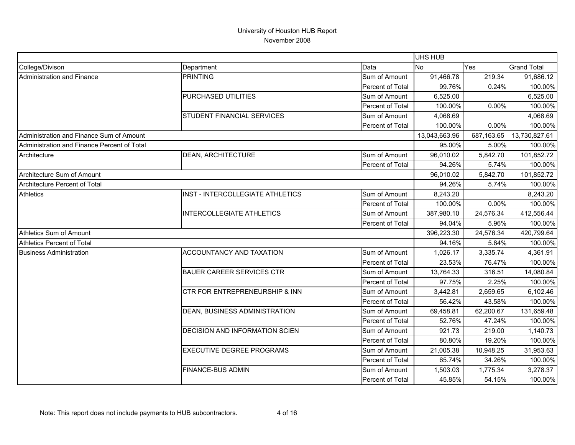|                                             |                                       |                  | <b>UHS HUB</b> |            |                    |
|---------------------------------------------|---------------------------------------|------------------|----------------|------------|--------------------|
| College/Divison                             | Department                            | Data             | No             | Yes        | <b>Grand Total</b> |
| Administration and Finance                  | <b>PRINTING</b>                       | Sum of Amount    | 91,466.78      | 219.34     | 91,686.12          |
|                                             |                                       | Percent of Total | 99.76%         | 0.24%      | 100.00%            |
|                                             | PURCHASED UTILITIES                   | Sum of Amount    | 6,525.00       |            | 6,525.00           |
|                                             |                                       | Percent of Total | 100.00%        | 0.00%      | 100.00%            |
|                                             | <b>STUDENT FINANCIAL SERVICES</b>     | Sum of Amount    | 4,068.69       |            | 4,068.69           |
|                                             |                                       | Percent of Total | 100.00%        | 0.00%      | 100.00%            |
| Administration and Finance Sum of Amount    |                                       |                  | 13,043,663.96  | 687,163.65 | 13,730,827.61      |
| Administration and Finance Percent of Total |                                       |                  | 95.00%         | 5.00%      | 100.00%            |
| Architecture                                | <b>DEAN, ARCHITECTURE</b>             | Sum of Amount    | 96,010.02      | 5,842.70   | 101,852.72         |
|                                             |                                       | Percent of Total | 94.26%         | 5.74%      | 100.00%            |
| Architecture Sum of Amount                  |                                       |                  | 96,010.02      | 5,842.70   | 101,852.72         |
| Architecture Percent of Total               |                                       |                  | 94.26%         | 5.74%      | 100.00%            |
| <b>Athletics</b>                            | INST - INTERCOLLEGIATE ATHLETICS      | Sum of Amount    | 8,243.20       |            | 8,243.20           |
|                                             |                                       | Percent of Total | 100.00%        | $0.00\%$   | 100.00%            |
|                                             | <b>INTERCOLLEGIATE ATHLETICS</b>      | Sum of Amount    | 387,980.10     | 24,576.34  | 412,556.44         |
|                                             |                                       | Percent of Total | 94.04%         | 5.96%      | 100.00%            |
| Athletics Sum of Amount                     |                                       |                  | 396,223.30     | 24,576.34  | 420,799.64         |
| <b>Athletics Percent of Total</b>           |                                       |                  | 94.16%         | 5.84%      | 100.00%            |
| <b>Business Administration</b>              | ACCOUNTANCY AND TAXATION              | Sum of Amount    | 1,026.17       | 3,335.74   | 4,361.91           |
|                                             |                                       | Percent of Total | 23.53%         | 76.47%     | 100.00%            |
|                                             | <b>BAUER CAREER SERVICES CTR</b>      | Sum of Amount    | 13,764.33      | 316.51     | 14,080.84          |
|                                             |                                       | Percent of Total | 97.75%         | 2.25%      | 100.00%            |
|                                             | CTR FOR ENTREPRENEURSHIP & INN        | Sum of Amount    | 3,442.81       | 2,659.65   | 6,102.46           |
|                                             |                                       | Percent of Total | 56.42%         | 43.58%     | 100.00%            |
|                                             | DEAN, BUSINESS ADMINISTRATION         | Sum of Amount    | 69,458.81      | 62,200.67  | 131,659.48         |
|                                             |                                       | Percent of Total | 52.76%         | 47.24%     | 100.00%            |
|                                             | <b>DECISION AND INFORMATION SCIEN</b> | Sum of Amount    | 921.73         | 219.00     | 1,140.73           |
|                                             |                                       | Percent of Total | 80.80%         | 19.20%     | 100.00%            |
|                                             | <b>EXECUTIVE DEGREE PROGRAMS</b>      | Sum of Amount    | 21,005.38      | 10,948.25  | 31,953.63          |
|                                             |                                       | Percent of Total | 65.74%         | 34.26%     | 100.00%            |
|                                             | <b>FINANCE-BUS ADMIN</b>              | Sum of Amount    | 1,503.03       | 1,775.34   | 3,278.37           |
|                                             |                                       | Percent of Total | 45.85%         | 54.15%     | 100.00%            |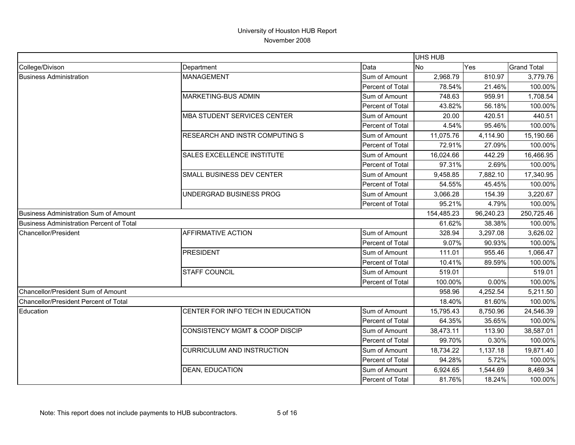|                                          |                                           |                  | <b>UHS HUB</b> |           |                    |
|------------------------------------------|-------------------------------------------|------------------|----------------|-----------|--------------------|
| College/Divison                          | Department                                | Data             | No             | Yes       | <b>Grand Total</b> |
| <b>Business Administration</b>           | <b>MANAGEMENT</b>                         | Sum of Amount    | 2,968.79       | 810.97    | 3,779.76           |
|                                          |                                           | Percent of Total | 78.54%         | 21.46%    | 100.00%            |
|                                          | MARKETING-BUS ADMIN                       | Sum of Amount    | 748.63         | 959.91    | 1,708.54           |
|                                          |                                           | Percent of Total | 43.82%         | 56.18%    | 100.00%            |
|                                          | <b>MBA STUDENT SERVICES CENTER</b>        | Sum of Amount    | 20.00          | 420.51    | 440.51             |
|                                          |                                           | Percent of Total | 4.54%          | 95.46%    | 100.00%            |
|                                          | RESEARCH AND INSTR COMPUTING S            | Sum of Amount    | 11,075.76      | 4,114.90  | 15,190.66          |
|                                          |                                           | Percent of Total | 72.91%         | 27.09%    | 100.00%            |
|                                          | SALES EXCELLENCE INSTITUTE                | Sum of Amount    | 16,024.66      | 442.29    | 16,466.95          |
|                                          |                                           | Percent of Total | 97.31%         | 2.69%     | 100.00%            |
|                                          | SMALL BUSINESS DEV CENTER                 | Sum of Amount    | 9,458.85       | 7,882.10  | 17,340.95          |
|                                          |                                           | Percent of Total | 54.55%         | 45.45%    | 100.00%            |
|                                          | UNDERGRAD BUSINESS PROG                   | Sum of Amount    | 3,066.28       | 154.39    | 3,220.67           |
|                                          |                                           | Percent of Total | 95.21%         | 4.79%     | 100.00%            |
| Business Administration Sum of Amount    |                                           |                  | 154,485.23     | 96,240.23 | 250,725.46         |
| Business Administration Percent of Total |                                           |                  | 61.62%         | 38.38%    | 100.00%            |
| Chancellor/President                     | <b>AFFIRMATIVE ACTION</b>                 | Sum of Amount    | 328.94         | 3,297.08  | 3,626.02           |
|                                          |                                           | Percent of Total | 9.07%          | 90.93%    | 100.00%            |
|                                          | <b>PRESIDENT</b>                          | Sum of Amount    | 111.01         | 955.46    | 1,066.47           |
|                                          |                                           | Percent of Total | 10.41%         | 89.59%    | 100.00%            |
|                                          | <b>STAFF COUNCIL</b>                      | Sum of Amount    | 519.01         |           | 519.01             |
|                                          |                                           | Percent of Total | 100.00%        | 0.00%     | 100.00%            |
| Chancellor/President Sum of Amount       |                                           |                  | 958.96         | 4,252.54  | 5,211.50           |
| Chancellor/President Percent of Total    |                                           |                  | 18.40%         | 81.60%    | 100.00%            |
| Education                                | CENTER FOR INFO TECH IN EDUCATION         | Sum of Amount    | 15,795.43      | 8,750.96  | 24,546.39          |
|                                          |                                           | Percent of Total | 64.35%         | 35.65%    | 100.00%            |
|                                          | <b>CONSISTENCY MGMT &amp; COOP DISCIP</b> | Sum of Amount    | 38,473.11      | 113.90    | 38,587.01          |
|                                          |                                           | Percent of Total | 99.70%         | 0.30%     | 100.00%            |
|                                          | <b>CURRICULUM AND INSTRUCTION</b>         | Sum of Amount    | 18,734.22      | 1,137.18  | 19,871.40          |
|                                          |                                           | Percent of Total | 94.28%         | 5.72%     | 100.00%            |
|                                          | <b>DEAN, EDUCATION</b>                    | Sum of Amount    | 6,924.65       | 1,544.69  | 8,469.34           |
|                                          |                                           | Percent of Total | 81.76%         | 18.24%    | 100.00%            |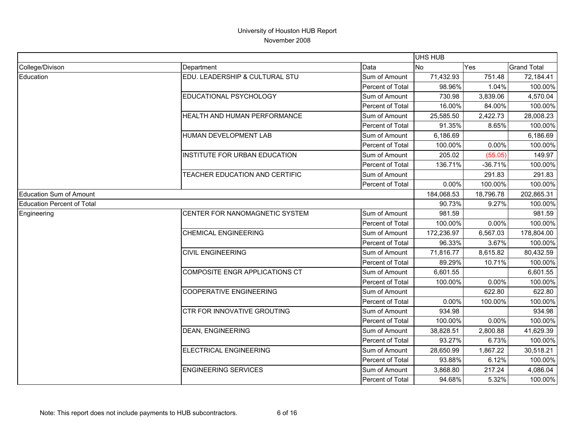|                                   |                                      |                  | UHS HUB    |           |                    |
|-----------------------------------|--------------------------------------|------------------|------------|-----------|--------------------|
| College/Divison                   | Department                           | Data             | <b>No</b>  | Yes       | <b>Grand Total</b> |
| Education                         | EDU. LEADERSHIP & CULTURAL STU       | Sum of Amount    | 71,432.93  | 751.48    | 72,184.41          |
|                                   |                                      | Percent of Total | 98.96%     | 1.04%     | 100.00%            |
|                                   | EDUCATIONAL PSYCHOLOGY               | Sum of Amount    | 730.98     | 3,839.06  | 4,570.04           |
|                                   |                                      | Percent of Total | 16.00%     | 84.00%    | 100.00%            |
|                                   | HEALTH AND HUMAN PERFORMANCE         | Sum of Amount    | 25,585.50  | 2,422.73  | 28,008.23          |
|                                   |                                      | Percent of Total | 91.35%     | 8.65%     | 100.00%            |
|                                   | HUMAN DEVELOPMENT LAB                | Sum of Amount    | 6,186.69   |           | 6,186.69           |
|                                   |                                      | Percent of Total | 100.00%    | 0.00%     | 100.00%            |
|                                   | <b>INSTITUTE FOR URBAN EDUCATION</b> | Sum of Amount    | 205.02     | (55.05)   | 149.97             |
|                                   |                                      | Percent of Total | 136.71%    | $-36.71%$ | 100.00%            |
|                                   | TEACHER EDUCATION AND CERTIFIC       | Sum of Amount    |            | 291.83    | 291.83             |
|                                   |                                      | Percent of Total | 0.00%      | 100.00%   | 100.00%            |
| Education Sum of Amount           |                                      |                  | 184,068.53 | 18,796.78 | 202,865.31         |
| <b>Education Percent of Total</b> |                                      |                  | 90.73%     | 9.27%     | 100.00%            |
| Engineering                       | CENTER FOR NANOMAGNETIC SYSTEM       | Sum of Amount    | 981.59     |           | 981.59             |
|                                   |                                      | Percent of Total | 100.00%    | 0.00%     | 100.00%            |
|                                   | <b>CHEMICAL ENGINEERING</b>          | Sum of Amount    | 172,236.97 | 6,567.03  | 178,804.00         |
|                                   |                                      | Percent of Total | 96.33%     | 3.67%     | 100.00%            |
|                                   | <b>CIVIL ENGINEERING</b>             | Sum of Amount    | 71,816.77  | 8,615.82  | 80,432.59          |
|                                   |                                      | Percent of Total | 89.29%     | 10.71%    | 100.00%            |
|                                   | COMPOSITE ENGR APPLICATIONS CT       | Sum of Amount    | 6,601.55   |           | 6,601.55           |
|                                   |                                      | Percent of Total | 100.00%    | 0.00%     | 100.00%            |
|                                   | <b>COOPERATIVE ENGINEERING</b>       | Sum of Amount    |            | 622.80    | 622.80             |
|                                   |                                      | Percent of Total | 0.00%      | 100.00%   | 100.00%            |
|                                   | CTR FOR INNOVATIVE GROUTING          | Sum of Amount    | 934.98     |           | 934.98             |
|                                   |                                      | Percent of Total | 100.00%    | 0.00%     | 100.00%            |
|                                   | <b>DEAN, ENGINEERING</b>             | Sum of Amount    | 38,828.51  | 2,800.88  | 41,629.39          |
|                                   |                                      | Percent of Total | 93.27%     | 6.73%     | 100.00%            |
|                                   | <b>ELECTRICAL ENGINEERING</b>        | Sum of Amount    | 28,650.99  | 1,867.22  | 30,518.21          |
|                                   |                                      | Percent of Total | 93.88%     | 6.12%     | 100.00%            |
|                                   | <b>ENGINEERING SERVICES</b>          | Sum of Amount    | 3,868.80   | 217.24    | 4,086.04           |
|                                   |                                      | Percent of Total | 94.68%     | 5.32%     | 100.00%            |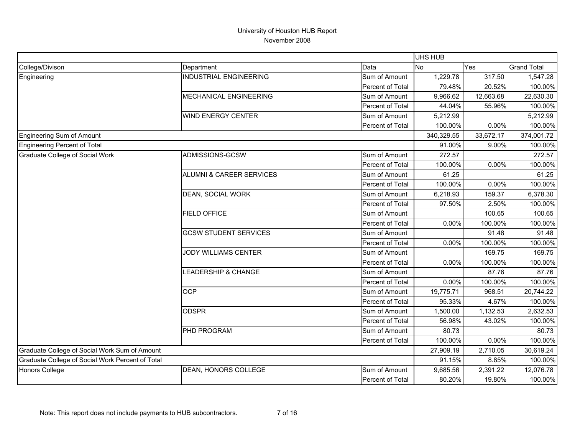|                                                  |                                     |                  | UHS HUB    |           |                    |
|--------------------------------------------------|-------------------------------------|------------------|------------|-----------|--------------------|
| College/Divison                                  | Department                          | Data             | No         | Yes       | <b>Grand Total</b> |
| Engineering                                      | <b>INDUSTRIAL ENGINEERING</b>       | Sum of Amount    | 1,229.78   | 317.50    | 1,547.28           |
|                                                  |                                     | Percent of Total | 79.48%     | 20.52%    | 100.00%            |
|                                                  | MECHANICAL ENGINEERING              | Sum of Amount    | 9,966.62   | 12,663.68 | 22,630.30          |
|                                                  |                                     | Percent of Total | 44.04%     | 55.96%    | 100.00%            |
|                                                  | <b>WIND ENERGY CENTER</b>           | Sum of Amount    | 5,212.99   |           | 5,212.99           |
|                                                  |                                     | Percent of Total | 100.00%    | 0.00%     | 100.00%            |
| Engineering Sum of Amount                        |                                     |                  | 340,329.55 | 33,672.17 | 374,001.72         |
| Engineering Percent of Total                     |                                     |                  | 91.00%     | 9.00%     | 100.00%            |
| <b>Graduate College of Social Work</b>           | ADMISSIONS-GCSW                     | Sum of Amount    | 272.57     |           | 272.57             |
|                                                  |                                     | Percent of Total | 100.00%    | 0.00%     | 100.00%            |
|                                                  | <b>ALUMNI &amp; CAREER SERVICES</b> | Sum of Amount    | 61.25      |           | 61.25              |
|                                                  |                                     | Percent of Total | 100.00%    | 0.00%     | 100.00%            |
|                                                  | <b>DEAN, SOCIAL WORK</b>            | Sum of Amount    | 6,218.93   | 159.37    | 6,378.30           |
|                                                  |                                     | Percent of Total | 97.50%     | 2.50%     | 100.00%            |
|                                                  | <b>FIELD OFFICE</b>                 | Sum of Amount    |            | 100.65    | 100.65             |
|                                                  |                                     | Percent of Total | 0.00%      | 100.00%   | 100.00%            |
|                                                  | <b>GCSW STUDENT SERVICES</b>        | Sum of Amount    |            | 91.48     | 91.48              |
|                                                  |                                     | Percent of Total | $0.00\%$   | 100.00%   | 100.00%            |
|                                                  | JODY WILLIAMS CENTER                | Sum of Amount    |            | 169.75    | 169.75             |
|                                                  |                                     | Percent of Total | $0.00\%$   | 100.00%   | 100.00%            |
|                                                  | LEADERSHIP & CHANGE                 | Sum of Amount    |            | 87.76     | 87.76              |
|                                                  |                                     | Percent of Total | $0.00\%$   | 100.00%   | 100.00%            |
|                                                  | <b>OCP</b>                          | Sum of Amount    | 19,775.71  | 968.51    | 20,744.22          |
|                                                  |                                     | Percent of Total | 95.33%     | 4.67%     | 100.00%            |
|                                                  | <b>ODSPR</b>                        | Sum of Amount    | 1,500.00   | 1,132.53  | 2,632.53           |
|                                                  |                                     | Percent of Total | 56.98%     | 43.02%    | 100.00%            |
|                                                  | PHD PROGRAM                         | Sum of Amount    | 80.73      |           | 80.73              |
|                                                  |                                     | Percent of Total | 100.00%    | 0.00%     | 100.00%            |
| Graduate College of Social Work Sum of Amount    |                                     |                  | 27,909.19  | 2,710.05  | 30,619.24          |
| Graduate College of Social Work Percent of Total |                                     |                  | 91.15%     | 8.85%     | 100.00%            |
| <b>Honors College</b>                            | DEAN, HONORS COLLEGE                | Sum of Amount    | 9,685.56   | 2,391.22  | 12,076.78          |
|                                                  |                                     | Percent of Total | 80.20%     | 19.80%    | 100.00%            |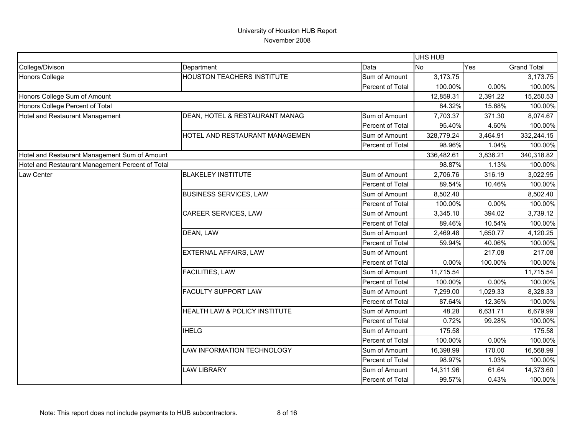|                                                  |                                   |                  | UHS HUB    |          |                    |
|--------------------------------------------------|-----------------------------------|------------------|------------|----------|--------------------|
| College/Divison                                  | Department                        | Data             | <b>No</b>  | Yes      | <b>Grand Total</b> |
| <b>Honors College</b>                            | <b>HOUSTON TEACHERS INSTITUTE</b> | Sum of Amount    | 3,173.75   |          | 3,173.75           |
|                                                  |                                   | Percent of Total | 100.00%    | 0.00%    | 100.00%            |
| Honors College Sum of Amount                     |                                   |                  | 12,859.31  | 2,391.22 | 15,250.53          |
| Honors College Percent of Total                  |                                   |                  | 84.32%     | 15.68%   | 100.00%            |
| Hotel and Restaurant Management                  | DEAN, HOTEL & RESTAURANT MANAG    | Sum of Amount    | 7,703.37   | 371.30   | 8,074.67           |
|                                                  |                                   | Percent of Total | 95.40%     | 4.60%    | 100.00%            |
|                                                  | HOTEL AND RESTAURANT MANAGEMEN    | Sum of Amount    | 328,779.24 | 3,464.91 | 332,244.15         |
|                                                  |                                   | Percent of Total | 98.96%     | 1.04%    | 100.00%            |
| Hotel and Restaurant Management Sum of Amount    |                                   |                  | 336,482.61 | 3,836.21 | 340,318.82         |
| Hotel and Restaurant Management Percent of Total |                                   |                  | 98.87%     | 1.13%    | 100.00%            |
| Law Center                                       | <b>BLAKELEY INSTITUTE</b>         | Sum of Amount    | 2,706.76   | 316.19   | 3,022.95           |
|                                                  |                                   | Percent of Total | 89.54%     | 10.46%   | 100.00%            |
|                                                  | <b>BUSINESS SERVICES, LAW</b>     | Sum of Amount    | 8,502.40   |          | 8,502.40           |
|                                                  |                                   | Percent of Total | 100.00%    | 0.00%    | 100.00%            |
|                                                  | <b>CAREER SERVICES, LAW</b>       | Sum of Amount    | 3,345.10   | 394.02   | 3,739.12           |
|                                                  |                                   | Percent of Total | 89.46%     | 10.54%   | 100.00%            |
|                                                  | DEAN, LAW                         | Sum of Amount    | 2,469.48   | 1,650.77 | 4,120.25           |
|                                                  |                                   | Percent of Total | 59.94%     | 40.06%   | 100.00%            |
|                                                  | EXTERNAL AFFAIRS, LAW             | Sum of Amount    |            | 217.08   | 217.08             |
|                                                  |                                   | Percent of Total | 0.00%      | 100.00%  | 100.00%            |
|                                                  | FACILITIES, LAW                   | Sum of Amount    | 11,715.54  |          | 11,715.54          |
|                                                  |                                   | Percent of Total | 100.00%    | 0.00%    | 100.00%            |
|                                                  | <b>FACULTY SUPPORT LAW</b>        | Sum of Amount    | 7,299.00   | 1,029.33 | 8,328.33           |
|                                                  |                                   | Percent of Total | 87.64%     | 12.36%   | 100.00%            |
|                                                  | HEALTH LAW & POLICY INSTITUTE     | Sum of Amount    | 48.28      | 6,631.71 | 6,679.99           |
|                                                  |                                   | Percent of Total | 0.72%      | 99.28%   | 100.00%            |
|                                                  | <b>IHELG</b>                      | Sum of Amount    | 175.58     |          | 175.58             |
|                                                  |                                   | Percent of Total | 100.00%    | 0.00%    | 100.00%            |
|                                                  | LAW INFORMATION TECHNOLOGY        | Sum of Amount    | 16,398.99  | 170.00   | 16,568.99          |
|                                                  |                                   | Percent of Total | 98.97%     | 1.03%    | 100.00%            |
|                                                  | <b>LAW LIBRARY</b>                | Sum of Amount    | 14,311.96  | 61.64    | 14,373.60          |
|                                                  |                                   | Percent of Total | 99.57%     | 0.43%    | 100.00%            |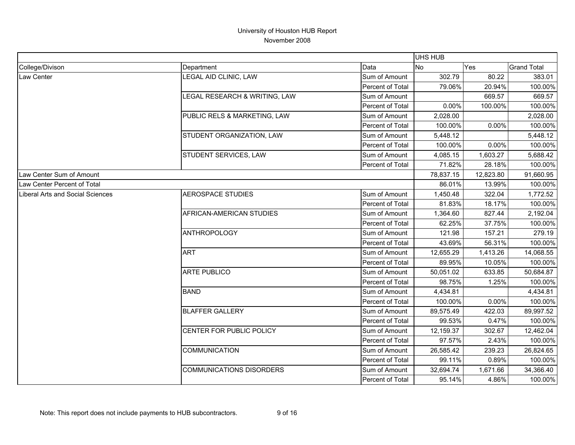|                                         |                                 |                  | UHS HUB   |           |                    |
|-----------------------------------------|---------------------------------|------------------|-----------|-----------|--------------------|
| College/Divison                         | Department                      | Data             | No        | Yes       | <b>Grand Total</b> |
| Law Center                              | LEGAL AID CLINIC, LAW           | Sum of Amount    | 302.79    | 80.22     | 383.01             |
|                                         |                                 | Percent of Total | 79.06%    | 20.94%    | 100.00%            |
|                                         | LEGAL RESEARCH & WRITING, LAW   | Sum of Amount    |           | 669.57    | 669.57             |
|                                         |                                 | Percent of Total | 0.00%     | 100.00%   | 100.00%            |
|                                         | PUBLIC RELS & MARKETING, LAW    | Sum of Amount    | 2,028.00  |           | 2,028.00           |
|                                         |                                 | Percent of Total | 100.00%   | 0.00%     | 100.00%            |
|                                         | STUDENT ORGANIZATION, LAW       | Sum of Amount    | 5,448.12  |           | 5,448.12           |
|                                         |                                 | Percent of Total | 100.00%   | 0.00%     | 100.00%            |
|                                         | STUDENT SERVICES, LAW           | Sum of Amount    | 4,085.15  | 1,603.27  | 5,688.42           |
|                                         |                                 | Percent of Total | 71.82%    | 28.18%    | 100.00%            |
| Law Center Sum of Amount                |                                 |                  | 78,837.15 | 12,823.80 | 91,660.95          |
| Law Center Percent of Total             |                                 |                  | 86.01%    | 13.99%    | 100.00%            |
| <b>Liberal Arts and Social Sciences</b> | <b>AEROSPACE STUDIES</b>        | Sum of Amount    | 1,450.48  | 322.04    | 1,772.52           |
|                                         |                                 | Percent of Total | 81.83%    | 18.17%    | 100.00%            |
|                                         | AFRICAN-AMERICAN STUDIES        | Sum of Amount    | 1,364.60  | 827.44    | 2,192.04           |
|                                         |                                 | Percent of Total | 62.25%    | 37.75%    | 100.00%            |
|                                         | <b>ANTHROPOLOGY</b>             | Sum of Amount    | 121.98    | 157.21    | 279.19             |
|                                         |                                 | Percent of Total | 43.69%    | 56.31%    | 100.00%            |
|                                         | <b>ART</b>                      | Sum of Amount    | 12,655.29 | 1,413.26  | 14,068.55          |
|                                         |                                 | Percent of Total | 89.95%    | 10.05%    | 100.00%            |
|                                         | <b>ARTE PUBLICO</b>             | Sum of Amount    | 50,051.02 | 633.85    | 50,684.87          |
|                                         |                                 | Percent of Total | 98.75%    | 1.25%     | 100.00%            |
|                                         | <b>BAND</b>                     | Sum of Amount    | 4,434.81  |           | 4,434.81           |
|                                         |                                 | Percent of Total | 100.00%   | 0.00%     | 100.00%            |
|                                         | <b>BLAFFER GALLERY</b>          | Sum of Amount    | 89,575.49 | 422.03    | 89,997.52          |
|                                         |                                 | Percent of Total | 99.53%    | 0.47%     | 100.00%            |
|                                         | CENTER FOR PUBLIC POLICY        | Sum of Amount    | 12,159.37 | 302.67    | 12,462.04          |
|                                         |                                 | Percent of Total | 97.57%    | 2.43%     | 100.00%            |
|                                         | <b>COMMUNICATION</b>            | Sum of Amount    | 26,585.42 | 239.23    | 26,824.65          |
|                                         |                                 | Percent of Total | 99.11%    | 0.89%     | 100.00%            |
|                                         | <b>COMMUNICATIONS DISORDERS</b> | Sum of Amount    | 32,694.74 | 1,671.66  | 34,366.40          |
|                                         |                                 | Percent of Total | 95.14%    | 4.86%     | 100.00%            |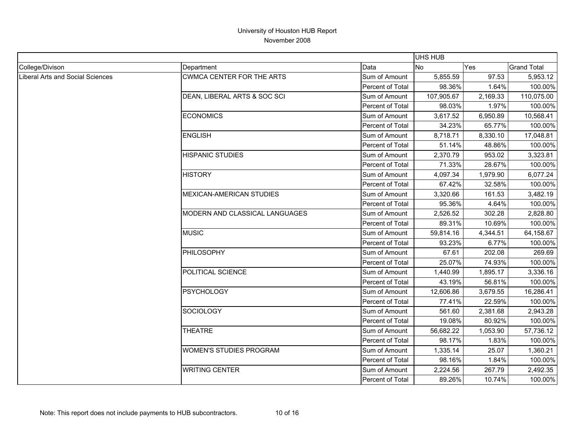|                                         |                                  |                  | <b>UHS HUB</b> |          |                    |
|-----------------------------------------|----------------------------------|------------------|----------------|----------|--------------------|
| College/Divison                         | Department                       | Data             | <b>No</b>      | Yes      | <b>Grand Total</b> |
| <b>Liberal Arts and Social Sciences</b> | <b>CWMCA CENTER FOR THE ARTS</b> | Sum of Amount    | 5,855.59       | 97.53    | 5,953.12           |
|                                         |                                  | Percent of Total | 98.36%         | 1.64%    | 100.00%            |
|                                         | DEAN, LIBERAL ARTS & SOC SCI     | Sum of Amount    | 107,905.67     | 2,169.33 | 110,075.00         |
|                                         |                                  | Percent of Total | 98.03%         | 1.97%    | 100.00%            |
|                                         | <b>ECONOMICS</b>                 | Sum of Amount    | 3,617.52       | 6,950.89 | 10,568.41          |
|                                         |                                  | Percent of Total | 34.23%         | 65.77%   | 100.00%            |
|                                         | <b>ENGLISH</b>                   | Sum of Amount    | 8,718.71       | 8,330.10 | 17,048.81          |
|                                         |                                  | Percent of Total | 51.14%         | 48.86%   | 100.00%            |
|                                         | <b>HISPANIC STUDIES</b>          | Sum of Amount    | 2,370.79       | 953.02   | 3,323.81           |
|                                         |                                  | Percent of Total | 71.33%         | 28.67%   | 100.00%            |
|                                         | <b>HISTORY</b>                   | Sum of Amount    | 4,097.34       | 1,979.90 | 6,077.24           |
|                                         |                                  | Percent of Total | 67.42%         | 32.58%   | 100.00%            |
|                                         | MEXICAN-AMERICAN STUDIES         | Sum of Amount    | 3,320.66       | 161.53   | 3,482.19           |
|                                         |                                  | Percent of Total | 95.36%         | 4.64%    | 100.00%            |
|                                         | MODERN AND CLASSICAL LANGUAGES   | Sum of Amount    | 2,526.52       | 302.28   | 2,828.80           |
|                                         |                                  | Percent of Total | 89.31%         | 10.69%   | 100.00%            |
|                                         | <b>MUSIC</b>                     | Sum of Amount    | 59,814.16      | 4,344.51 | 64,158.67          |
|                                         |                                  | Percent of Total | 93.23%         | 6.77%    | 100.00%            |
|                                         | PHILOSOPHY                       | Sum of Amount    | 67.61          | 202.08   | 269.69             |
|                                         |                                  | Percent of Total | 25.07%         | 74.93%   | 100.00%            |
|                                         | POLITICAL SCIENCE                | Sum of Amount    | 1,440.99       | 1,895.17 | 3,336.16           |
|                                         |                                  | Percent of Total | 43.19%         | 56.81%   | 100.00%            |
|                                         | PSYCHOLOGY                       | Sum of Amount    | 12,606.86      | 3,679.55 | 16,286.41          |
|                                         |                                  | Percent of Total | 77.41%         | 22.59%   | 100.00%            |
|                                         | SOCIOLOGY                        | Sum of Amount    | 561.60         | 2,381.68 | 2,943.28           |
|                                         |                                  | Percent of Total | 19.08%         | 80.92%   | 100.00%            |
|                                         | <b>THEATRE</b>                   | Sum of Amount    | 56,682.22      | 1,053.90 | 57,736.12          |
|                                         |                                  | Percent of Total | 98.17%         | 1.83%    | 100.00%            |
|                                         | <b>WOMEN'S STUDIES PROGRAM</b>   | Sum of Amount    | 1,335.14       | 25.07    | 1,360.21           |
|                                         |                                  | Percent of Total | 98.16%         | 1.84%    | 100.00%            |
|                                         | <b>WRITING CENTER</b>            | Sum of Amount    | 2,224.56       | 267.79   | 2,492.35           |
|                                         |                                  | Percent of Total | 89.26%         | 10.74%   | 100.00%            |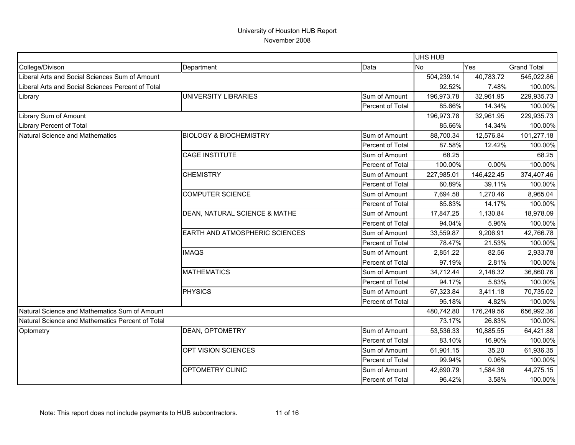|                                                   |                                       |                  | UHS HUB    |            |                    |
|---------------------------------------------------|---------------------------------------|------------------|------------|------------|--------------------|
| College/Divison                                   | Department                            | Data             | <b>No</b>  | Yes        | <b>Grand Total</b> |
| Liberal Arts and Social Sciences Sum of Amount    |                                       |                  | 504,239.14 | 40,783.72  | 545,022.86         |
| Liberal Arts and Social Sciences Percent of Total |                                       |                  | 92.52%     | 7.48%      | 100.00%            |
| Library                                           | <b>UNIVERSITY LIBRARIES</b>           | Sum of Amount    | 196,973.78 | 32,961.95  | 229,935.73         |
|                                                   |                                       | Percent of Total | 85.66%     | 14.34%     | 100.00%            |
| Library Sum of Amount                             |                                       | 196,973.78       | 32,961.95  | 229,935.73 |                    |
| <b>Library Percent of Total</b>                   |                                       |                  | 85.66%     | 14.34%     | 100.00%            |
| <b>Natural Science and Mathematics</b>            | <b>BIOLOGY &amp; BIOCHEMISTRY</b>     | Sum of Amount    | 88,700.34  | 12,576.84  | 101,277.18         |
|                                                   |                                       | Percent of Total | 87.58%     | 12.42%     | 100.00%            |
|                                                   | <b>CAGE INSTITUTE</b>                 | Sum of Amount    | 68.25      |            | 68.25              |
|                                                   |                                       | Percent of Total | 100.00%    | 0.00%      | 100.00%            |
|                                                   | <b>CHEMISTRY</b>                      | Sum of Amount    | 227,985.01 | 146,422.45 | 374,407.46         |
|                                                   |                                       | Percent of Total | 60.89%     | 39.11%     | 100.00%            |
|                                                   | <b>COMPUTER SCIENCE</b>               | Sum of Amount    | 7,694.58   | 1,270.46   | 8,965.04           |
|                                                   |                                       | Percent of Total | 85.83%     | 14.17%     | 100.00%            |
|                                                   | DEAN, NATURAL SCIENCE & MATHE         | Sum of Amount    | 17,847.25  | 1,130.84   | 18,978.09          |
|                                                   |                                       | Percent of Total | 94.04%     | 5.96%      | 100.00%            |
|                                                   | <b>EARTH AND ATMOSPHERIC SCIENCES</b> | Sum of Amount    | 33,559.87  | 9,206.91   | 42,766.78          |
|                                                   |                                       | Percent of Total | 78.47%     | 21.53%     | 100.00%            |
|                                                   | <b>IMAQS</b>                          | Sum of Amount    | 2,851.22   | 82.56      | 2,933.78           |
|                                                   |                                       | Percent of Total | 97.19%     | 2.81%      | 100.00%            |
|                                                   | <b>MATHEMATICS</b>                    | Sum of Amount    | 34,712.44  | 2,148.32   | 36,860.76          |
|                                                   |                                       | Percent of Total | 94.17%     | 5.83%      | 100.00%            |
|                                                   | <b>PHYSICS</b>                        | Sum of Amount    | 67,323.84  | 3,411.18   | 70,735.02          |
|                                                   |                                       | Percent of Total | 95.18%     | 4.82%      | 100.00%            |
| Natural Science and Mathematics Sum of Amount     |                                       |                  | 480,742.80 | 176,249.56 | 656,992.36         |
| Natural Science and Mathematics Percent of Total  |                                       |                  | 73.17%     | 26.83%     | 100.00%            |
| Optometry                                         | DEAN, OPTOMETRY                       | Sum of Amount    | 53,536.33  | 10,885.55  | 64,421.88          |
|                                                   |                                       | Percent of Total | 83.10%     | 16.90%     | 100.00%            |
|                                                   | OPT VISION SCIENCES                   | Sum of Amount    | 61,901.15  | 35.20      | 61,936.35          |
|                                                   |                                       | Percent of Total | 99.94%     | 0.06%      | 100.00%            |
|                                                   | OPTOMETRY CLINIC                      | Sum of Amount    | 42,690.79  | 1,584.36   | 44,275.15          |
|                                                   |                                       | Percent of Total | 96.42%     | 3.58%      | 100.00%            |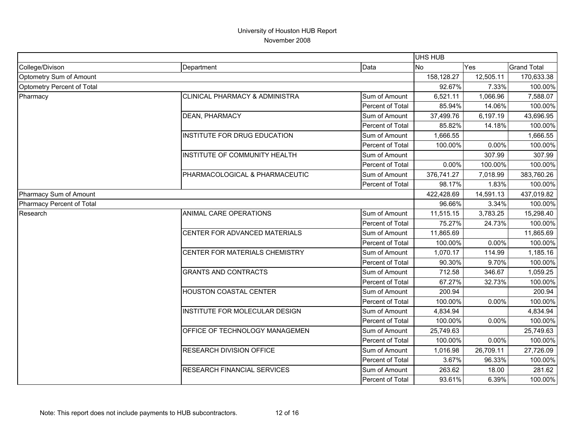|                                                                                                                                                                                                                                                                                                                                 |                                 |                  | UHS HUB    |           |                    |
|---------------------------------------------------------------------------------------------------------------------------------------------------------------------------------------------------------------------------------------------------------------------------------------------------------------------------------|---------------------------------|------------------|------------|-----------|--------------------|
|                                                                                                                                                                                                                                                                                                                                 | Department                      | Data             | <b>No</b>  | Yes       | <b>Grand Total</b> |
| Optometry Sum of Amount                                                                                                                                                                                                                                                                                                         |                                 |                  | 158,128.27 | 12,505.11 | 170,633.38         |
| College/Divison<br>Optometry Percent of Total<br><b>CLINICAL PHARMACY &amp; ADMINISTRA</b><br>Pharmacy<br><b>DEAN, PHARMACY</b><br>INSTITUTE FOR DRUG EDUCATION<br>INSTITUTE OF COMMUNITY HEALTH<br>PHARMACOLOGICAL & PHARMACEUTIC<br>Pharmacy Sum of Amount<br>Pharmacy Percent of Total<br>ANIMAL CARE OPERATIONS<br>Research |                                 |                  | 92.67%     | 7.33%     | 100.00%            |
|                                                                                                                                                                                                                                                                                                                                 |                                 | Sum of Amount    | 6,521.11   | 1,066.96  | 7,588.07           |
|                                                                                                                                                                                                                                                                                                                                 |                                 | Percent of Total | 85.94%     | 14.06%    | 100.00%            |
|                                                                                                                                                                                                                                                                                                                                 |                                 | Sum of Amount    | 37,499.76  | 6,197.19  | 43,696.95          |
|                                                                                                                                                                                                                                                                                                                                 |                                 | Percent of Total | 85.82%     | 14.18%    | 100.00%            |
|                                                                                                                                                                                                                                                                                                                                 |                                 | Sum of Amount    | 1,666.55   |           | 1,666.55           |
|                                                                                                                                                                                                                                                                                                                                 |                                 | Percent of Total | 100.00%    | 0.00%     | 100.00%            |
|                                                                                                                                                                                                                                                                                                                                 |                                 | Sum of Amount    |            | 307.99    | 307.99             |
|                                                                                                                                                                                                                                                                                                                                 |                                 | Percent of Total | 0.00%      | 100.00%   | 100.00%            |
|                                                                                                                                                                                                                                                                                                                                 |                                 | Sum of Amount    | 376,741.27 | 7,018.99  | 383,760.26         |
|                                                                                                                                                                                                                                                                                                                                 |                                 | Percent of Total | 98.17%     | 1.83%     | 100.00%            |
|                                                                                                                                                                                                                                                                                                                                 |                                 |                  | 422,428.69 | 14,591.13 | 437,019.82         |
|                                                                                                                                                                                                                                                                                                                                 |                                 |                  | 96.66%     | 3.34%     | 100.00%            |
|                                                                                                                                                                                                                                                                                                                                 |                                 | Sum of Amount    | 11,515.15  | 3,783.25  | 15,298.40          |
|                                                                                                                                                                                                                                                                                                                                 |                                 | Percent of Total | 75.27%     | 24.73%    | 100.00%            |
|                                                                                                                                                                                                                                                                                                                                 | CENTER FOR ADVANCED MATERIALS   | Sum of Amount    | 11,865.69  |           | 11,865.69          |
|                                                                                                                                                                                                                                                                                                                                 |                                 | Percent of Total | 100.00%    | 0.00%     | 100.00%            |
|                                                                                                                                                                                                                                                                                                                                 | CENTER FOR MATERIALS CHEMISTRY  | Sum of Amount    | 1,070.17   | 114.99    | 1,185.16           |
|                                                                                                                                                                                                                                                                                                                                 |                                 | Percent of Total | 90.30%     | 9.70%     | 100.00%            |
|                                                                                                                                                                                                                                                                                                                                 | <b>GRANTS AND CONTRACTS</b>     | Sum of Amount    | 712.58     | 346.67    | 1,059.25           |
|                                                                                                                                                                                                                                                                                                                                 |                                 | Percent of Total | 67.27%     | 32.73%    | 100.00%            |
|                                                                                                                                                                                                                                                                                                                                 | <b>HOUSTON COASTAL CENTER</b>   | Sum of Amount    | 200.94     |           | 200.94             |
|                                                                                                                                                                                                                                                                                                                                 |                                 | Percent of Total | 100.00%    | 0.00%     | 100.00%            |
|                                                                                                                                                                                                                                                                                                                                 | INSTITUTE FOR MOLECULAR DESIGN  | Sum of Amount    | 4,834.94   |           | 4,834.94           |
|                                                                                                                                                                                                                                                                                                                                 |                                 | Percent of Total | 100.00%    | 0.00%     | 100.00%            |
|                                                                                                                                                                                                                                                                                                                                 | OFFICE OF TECHNOLOGY MANAGEMEN  | Sum of Amount    | 25,749.63  |           | 25,749.63          |
|                                                                                                                                                                                                                                                                                                                                 |                                 | Percent of Total | 100.00%    | 0.00%     | 100.00%            |
|                                                                                                                                                                                                                                                                                                                                 | <b>RESEARCH DIVISION OFFICE</b> | Sum of Amount    | 1,016.98   | 26,709.11 | 27,726.09          |
|                                                                                                                                                                                                                                                                                                                                 |                                 | Percent of Total | 3.67%      | 96.33%    | 100.00%            |
|                                                                                                                                                                                                                                                                                                                                 | RESEARCH FINANCIAL SERVICES     | Sum of Amount    | 263.62     | 18.00     | 281.62             |
|                                                                                                                                                                                                                                                                                                                                 |                                 | Percent of Total | 93.61%     | 6.39%     | 100.00%            |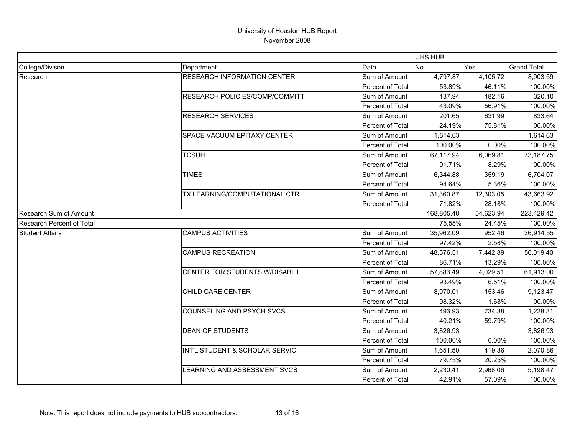|                           |                                    |                  | UHS HUB    |           |                    |
|---------------------------|------------------------------------|------------------|------------|-----------|--------------------|
| College/Divison           | Department                         | Data             | <b>No</b>  | Yes       | <b>Grand Total</b> |
| Research                  | <b>RESEARCH INFORMATION CENTER</b> | Sum of Amount    | 4,797.87   | 4,105.72  | 8,903.59           |
|                           |                                    | Percent of Total | 53.89%     | 46.11%    | 100.00%            |
|                           | RESEARCH POLICIES/COMP/COMMITT     | Sum of Amount    | 137.94     | 182.16    | 320.10             |
|                           |                                    | Percent of Total | 43.09%     | 56.91%    | 100.00%            |
|                           | <b>RESEARCH SERVICES</b>           | Sum of Amount    | 201.65     | 631.99    | 833.64             |
|                           |                                    | Percent of Total | 24.19%     | 75.81%    | 100.00%            |
|                           | SPACE VACUUM EPITAXY CENTER        | Sum of Amount    | 1,614.63   |           | 1,614.63           |
|                           |                                    | Percent of Total | 100.00%    | 0.00%     | 100.00%            |
|                           | <b>TCSUH</b>                       | Sum of Amount    | 67,117.94  | 6,069.81  | 73,187.75          |
|                           |                                    | Percent of Total | 91.71%     | 8.29%     | 100.00%            |
|                           | <b>TIMES</b>                       | Sum of Amount    | 6,344.88   | 359.19    | 6,704.07           |
|                           |                                    | Percent of Total | 94.64%     | 5.36%     | 100.00%            |
|                           | TX LEARNING/COMPUTATIONAL CTR      | Sum of Amount    | 31,360.87  | 12,303.05 | 43,663.92          |
|                           |                                    | Percent of Total | 71.82%     | 28.18%    | 100.00%            |
| Research Sum of Amount    |                                    |                  | 168,805.48 | 54,623.94 | 223,429.42         |
| Research Percent of Total |                                    |                  | 75.55%     | 24.45%    | 100.00%            |
| <b>Student Affairs</b>    | <b>CAMPUS ACTIVITIES</b>           | Sum of Amount    | 35,962.09  | 952.46    | 36,914.55          |
|                           |                                    | Percent of Total | 97.42%     | 2.58%     | 100.00%            |
|                           | <b>CAMPUS RECREATION</b>           | Sum of Amount    | 48,576.51  | 7,442.89  | 56,019.40          |
|                           |                                    | Percent of Total | 86.71%     | 13.29%    | 100.00%            |
|                           | CENTER FOR STUDENTS W/DISABILI     | Sum of Amount    | 57,883.49  | 4,029.51  | 61,913.00          |
|                           |                                    | Percent of Total | 93.49%     | 6.51%     | 100.00%            |
|                           | CHILD CARE CENTER                  | Sum of Amount    | 8,970.01   | 153.46    | 9,123.47           |
|                           |                                    | Percent of Total | 98.32%     | 1.68%     | 100.00%            |
|                           | COUNSELING AND PSYCH SVCS          | Sum of Amount    | 493.93     | 734.38    | 1,228.31           |
|                           |                                    | Percent of Total | 40.21%     | 59.79%    | 100.00%            |
|                           | <b>DEAN OF STUDENTS</b>            | Sum of Amount    | 3,826.93   |           | 3,826.93           |
|                           |                                    | Percent of Total | 100.00%    | 0.00%     | 100.00%            |
|                           | INT'L STUDENT & SCHOLAR SERVIC     | Sum of Amount    | 1,651.50   | 419.36    | 2,070.86           |
|                           |                                    | Percent of Total | 79.75%     | 20.25%    | 100.00%            |
|                           | LEARNING AND ASSESSMENT SVCS       | Sum of Amount    | 2,230.41   | 2,968.06  | 5,198.47           |
|                           |                                    | Percent of Total | 42.91%     | 57.09%    | 100.00%            |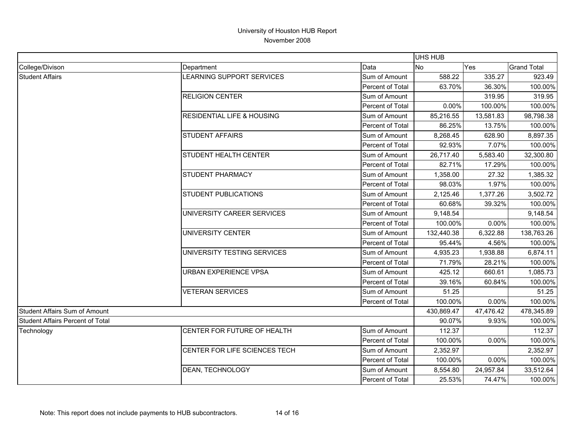|                                  |                                       |                  | <b>UHS HUB</b> |           |                    |
|----------------------------------|---------------------------------------|------------------|----------------|-----------|--------------------|
| College/Divison                  | Department                            | Data             | No             | Yes       | <b>Grand Total</b> |
| <b>Student Affairs</b>           | LEARNING SUPPORT SERVICES             | Sum of Amount    | 588.22         | 335.27    | 923.49             |
|                                  |                                       | Percent of Total | 63.70%         | 36.30%    | 100.00%            |
|                                  | <b>RELIGION CENTER</b>                | Sum of Amount    |                | 319.95    | 319.95             |
|                                  |                                       | Percent of Total | 0.00%          | 100.00%   | 100.00%            |
|                                  | <b>RESIDENTIAL LIFE &amp; HOUSING</b> | Sum of Amount    | 85,216.55      | 13,581.83 | 98,798.38          |
|                                  |                                       | Percent of Total | 86.25%         | 13.75%    | 100.00%            |
|                                  | <b>STUDENT AFFAIRS</b>                | Sum of Amount    | 8,268.45       | 628.90    | 8,897.35           |
|                                  |                                       | Percent of Total | 92.93%         | 7.07%     | 100.00%            |
|                                  | STUDENT HEALTH CENTER                 | Sum of Amount    | 26,717.40      | 5,583.40  | 32,300.80          |
|                                  |                                       | Percent of Total | 82.71%         | 17.29%    | 100.00%            |
|                                  | <b>STUDENT PHARMACY</b>               | Sum of Amount    | 1,358.00       | 27.32     | 1,385.32           |
|                                  |                                       | Percent of Total | 98.03%         | 1.97%     | 100.00%            |
|                                  | <b>STUDENT PUBLICATIONS</b>           | Sum of Amount    | 2,125.46       | 1,377.26  | 3,502.72           |
|                                  |                                       | Percent of Total | 60.68%         | 39.32%    | 100.00%            |
|                                  | UNIVERSITY CAREER SERVICES            | Sum of Amount    | 9,148.54       |           | 9,148.54           |
|                                  |                                       | Percent of Total | 100.00%        | 0.00%     | 100.00%            |
|                                  | UNIVERSITY CENTER                     | Sum of Amount    | 132,440.38     | 6,322.88  | 138,763.26         |
|                                  |                                       | Percent of Total | 95.44%         | 4.56%     | 100.00%            |
|                                  | UNIVERSITY TESTING SERVICES           | Sum of Amount    | 4,935.23       | 1,938.88  | 6,874.11           |
|                                  |                                       | Percent of Total | 71.79%         | 28.21%    | 100.00%            |
|                                  | <b>URBAN EXPERIENCE VPSA</b>          | Sum of Amount    | 425.12         | 660.61    | 1,085.73           |
|                                  |                                       | Percent of Total | 39.16%         | 60.84%    | 100.00%            |
|                                  | <b>VETERAN SERVICES</b>               | Sum of Amount    | 51.25          |           | 51.25              |
|                                  |                                       | Percent of Total | 100.00%        | 0.00%     | 100.00%            |
| Student Affairs Sum of Amount    |                                       |                  | 430,869.47     | 47,476.42 | 478,345.89         |
| Student Affairs Percent of Total |                                       | 90.07%           | 9.93%          | 100.00%   |                    |
| Technology                       | CENTER FOR FUTURE OF HEALTH           | Sum of Amount    | 112.37         |           | 112.37             |
|                                  |                                       | Percent of Total | 100.00%        | 0.00%     | 100.00%            |
|                                  | CENTER FOR LIFE SCIENCES TECH         | Sum of Amount    | 2,352.97       |           | 2,352.97           |
|                                  |                                       | Percent of Total | 100.00%        | 0.00%     | 100.00%            |
|                                  | DEAN, TECHNOLOGY                      | Sum of Amount    | 8,554.80       | 24,957.84 | 33,512.64          |
|                                  |                                       | Percent of Total | 25.53%         | 74.47%    | 100.00%            |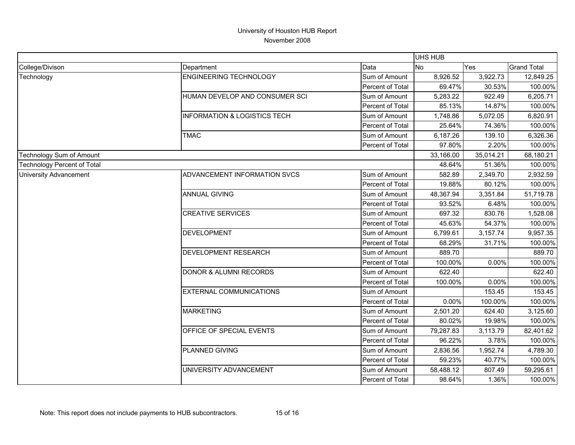|                                    |                                         |                  | <b>UHS HUB</b> |           |                    |
|------------------------------------|-----------------------------------------|------------------|----------------|-----------|--------------------|
| College/Divison                    | Department                              | Data             | <b>No</b>      | Yes       | <b>Grand Total</b> |
| Technology                         | <b>ENGINEERING TECHNOLOGY</b>           | Sum of Amount    | 8,926.52       | 3,922.73  | 12,849.25          |
|                                    |                                         | Percent of Total | 69.47%         | 30.53%    | 100.00%            |
|                                    | HUMAN DEVELOP AND CONSUMER SCI          | Sum of Amount    | 5,283.22       | 922.49    | 6,205.71           |
|                                    |                                         | Percent of Total | 85.13%         | 14.87%    | 100.00%            |
|                                    | <b>INFORMATION &amp; LOGISTICS TECH</b> | Sum of Amount    | 1,748.86       | 5,072.05  | 6,820.91           |
|                                    |                                         | Percent of Total | 25.64%         | 74.36%    | 100.00%            |
|                                    | <b>TMAC</b>                             | Sum of Amount    | 6,187.26       | 139.10    | 6,326.36           |
|                                    |                                         | Percent of Total | 97.80%         | 2.20%     | 100.00%            |
| <b>Technology Sum of Amount</b>    |                                         |                  | 33,166.00      | 35,014.21 | 68,180.21          |
| <b>Technology Percent of Total</b> |                                         |                  | 48.64%         | 51.36%    | 100.00%            |
| <b>University Advancement</b>      | ADVANCEMENT INFORMATION SVCS            | Sum of Amount    | 582.89         | 2,349.70  | 2,932.59           |
|                                    |                                         | Percent of Total | 19.88%         | 80.12%    | 100.00%            |
|                                    | <b>ANNUAL GIVING</b>                    | Sum of Amount    | 48,367.94      | 3,351.84  | 51,719.78          |
|                                    |                                         | Percent of Total | 93.52%         | 6.48%     | 100.00%            |
|                                    | <b>CREATIVE SERVICES</b>                | Sum of Amount    | 697.32         | 830.76    | 1,528.08           |
|                                    |                                         | Percent of Total | 45.63%         | 54.37%    | 100.00%            |
|                                    | <b>DEVELOPMENT</b>                      | Sum of Amount    | 6,799.61       | 3,157.74  | 9,957.35           |
|                                    |                                         | Percent of Total | 68.29%         | 31.71%    | 100.00%            |
|                                    | <b>DEVELOPMENT RESEARCH</b>             | Sum of Amount    | 889.70         |           | 889.70             |
|                                    |                                         | Percent of Total | 100.00%        | $0.00\%$  | 100.00%            |
|                                    | <b>DONOR &amp; ALUMNI RECORDS</b>       | Sum of Amount    | 622.40         |           | 622.40             |
|                                    |                                         | Percent of Total | 100.00%        | 0.00%     | 100.00%            |
|                                    | <b>EXTERNAL COMMUNICATIONS</b>          | Sum of Amount    |                | 153.45    | 153.45             |
|                                    |                                         | Percent of Total | 0.00%          | 100.00%   | 100.00%            |
|                                    | <b>MARKETING</b>                        | Sum of Amount    | 2,501.20       | 624.40    | 3,125.60           |
|                                    |                                         | Percent of Total | 80.02%         | 19.98%    | 100.00%            |
|                                    | OFFICE OF SPECIAL EVENTS                | Sum of Amount    | 79,287.83      | 3,113.79  | 82,401.62          |
|                                    |                                         | Percent of Total | 96.22%         | 3.78%     | 100.00%            |
|                                    | PLANNED GIVING                          | Sum of Amount    | 2,836.56       | 1,952.74  | 4,789.30           |
|                                    |                                         | Percent of Total | 59.23%         | 40.77%    | 100.00%            |
|                                    | UNIVERSITY ADVANCEMENT                  | Sum of Amount    | 58,488.12      | 807.49    | 59,295.61          |
|                                    |                                         | Percent of Total | 98.64%         | 1.36%     | 100.00%            |